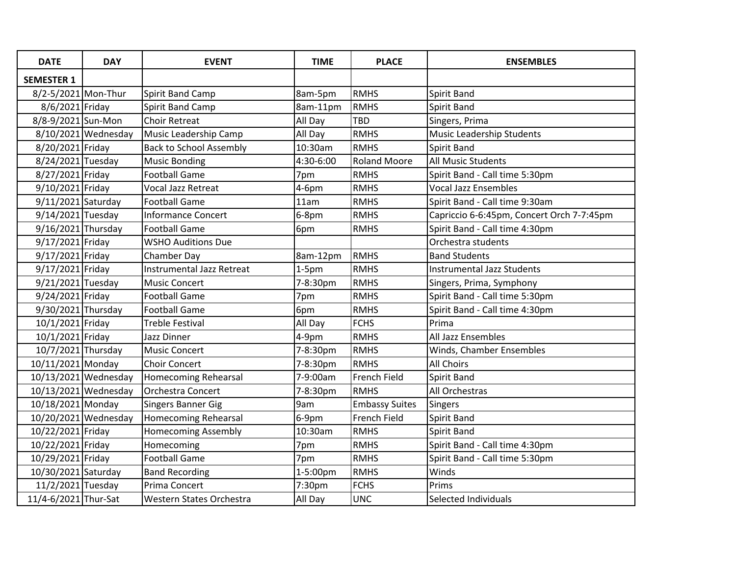| <b>DATE</b>          | <b>DAY</b>           | <b>EVENT</b>                     | <b>TIME</b> | <b>PLACE</b>          | <b>ENSEMBLES</b>                          |
|----------------------|----------------------|----------------------------------|-------------|-----------------------|-------------------------------------------|
| <b>SEMESTER 1</b>    |                      |                                  |             |                       |                                           |
| 8/2-5/2021 Mon-Thur  |                      | Spirit Band Camp                 | 8am-5pm     | <b>RMHS</b>           | Spirit Band                               |
| 8/6/2021 Friday      |                      | Spirit Band Camp                 | 8am-11pm    | <b>RMHS</b>           | Spirit Band                               |
| 8/8-9/2021 Sun-Mon   |                      | <b>Choir Retreat</b>             | All Day     | <b>TBD</b>            | Singers, Prima                            |
|                      | 8/10/2021 Wednesday  | Music Leadership Camp            | All Day     | <b>RMHS</b>           | Music Leadership Students                 |
| 8/20/2021 Friday     |                      | <b>Back to School Assembly</b>   | 10:30am     | <b>RMHS</b>           | Spirit Band                               |
| 8/24/2021 Tuesday    |                      | <b>Music Bonding</b>             | 4:30-6:00   | <b>Roland Moore</b>   | <b>All Music Students</b>                 |
| 8/27/2021 Friday     |                      | <b>Football Game</b>             | 7pm         | <b>RMHS</b>           | Spirit Band - Call time 5:30pm            |
| 9/10/2021 Friday     |                      | Vocal Jazz Retreat               | 4-6pm       | <b>RMHS</b>           | <b>Vocal Jazz Ensembles</b>               |
| 9/11/2021 Saturday   |                      | <b>Football Game</b>             | 11am        | <b>RMHS</b>           | Spirit Band - Call time 9:30am            |
| 9/14/2021 Tuesday    |                      | Informance Concert               | 6-8pm       | <b>RMHS</b>           | Capriccio 6-6:45pm, Concert Orch 7-7:45pm |
| 9/16/2021 Thursday   |                      | <b>Football Game</b>             | 6pm         | <b>RMHS</b>           | Spirit Band - Call time 4:30pm            |
| 9/17/2021 Friday     |                      | <b>WSHO Auditions Due</b>        |             |                       | Orchestra students                        |
| 9/17/2021 Friday     |                      | Chamber Day                      | 8am-12pm    | <b>RMHS</b>           | <b>Band Students</b>                      |
| 9/17/2021 Friday     |                      | <b>Instrumental Jazz Retreat</b> | $1-5pm$     | <b>RMHS</b>           | <b>Instrumental Jazz Students</b>         |
| 9/21/2021 Tuesday    |                      | <b>Music Concert</b>             | 7-8:30pm    | <b>RMHS</b>           | Singers, Prima, Symphony                  |
| 9/24/2021 Friday     |                      | <b>Football Game</b>             | 7pm         | <b>RMHS</b>           | Spirit Band - Call time 5:30pm            |
| 9/30/2021 Thursday   |                      | <b>Football Game</b>             | 6pm         | <b>RMHS</b>           | Spirit Band - Call time 4:30pm            |
| 10/1/2021 Friday     |                      | <b>Treble Festival</b>           | All Day     | <b>FCHS</b>           | Prima                                     |
| 10/1/2021 Friday     |                      | Jazz Dinner                      | 4-9pm       | <b>RMHS</b>           | All Jazz Ensembles                        |
| 10/7/2021 Thursday   |                      | <b>Music Concert</b>             | 7-8:30pm    | <b>RMHS</b>           | Winds, Chamber Ensembles                  |
| 10/11/2021 Monday    |                      | <b>Choir Concert</b>             | 7-8:30pm    | <b>RMHS</b>           | <b>All Choirs</b>                         |
|                      | 10/13/2021 Wednesday | <b>Homecoming Rehearsal</b>      | 7-9:00am    | <b>French Field</b>   | Spirit Band                               |
|                      | 10/13/2021 Wednesday | Orchestra Concert                | 7-8:30pm    | <b>RMHS</b>           | All Orchestras                            |
| 10/18/2021 Monday    |                      | <b>Singers Banner Gig</b>        | 9am         | <b>Embassy Suites</b> | <b>Singers</b>                            |
|                      | 10/20/2021 Wednesday | Homecoming Rehearsal             | 6-9pm       | <b>French Field</b>   | Spirit Band                               |
| 10/22/2021 Friday    |                      | <b>Homecoming Assembly</b>       | 10:30am     | <b>RMHS</b>           | Spirit Band                               |
| 10/22/2021 Friday    |                      | Homecoming                       | 7pm         | <b>RMHS</b>           | Spirit Band - Call time 4:30pm            |
| 10/29/2021 Friday    |                      | <b>Football Game</b>             | 7pm         | <b>RMHS</b>           | Spirit Band - Call time 5:30pm            |
| 10/30/2021 Saturday  |                      | <b>Band Recording</b>            | 1-5:00pm    | <b>RMHS</b>           | Winds                                     |
| 11/2/2021 Tuesday    |                      | Prima Concert                    | 7:30pm      | <b>FCHS</b>           | Prims                                     |
| 11/4-6/2021 Thur-Sat |                      | Western States Orchestra         | All Day     | <b>UNC</b>            | Selected Individuals                      |